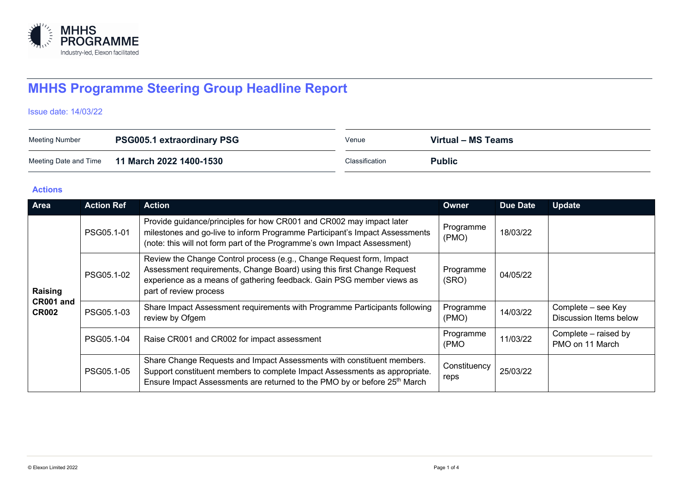

# **MHHS Programme Steering Group Headline Report**

### Issue date: 14/03/22

| <b>Meeting Number</b> | <b>PSG005.1 extraordinary PSG</b> | Venue          | Virtual – MS Teams |
|-----------------------|-----------------------------------|----------------|--------------------|
| Meeting Date and Time | 11 March 2022 1400-1530           | Classification | <b>Public</b>      |

#### **Actions**

| <b>Area</b>                          | <b>Action Ref</b> | <b>Action</b>                                                                                                                                                                                                                                     | <b>Owner</b>         | <b>Due Date</b> | <b>Update</b>                                |
|--------------------------------------|-------------------|---------------------------------------------------------------------------------------------------------------------------------------------------------------------------------------------------------------------------------------------------|----------------------|-----------------|----------------------------------------------|
| Raising<br>CR001 and<br><b>CR002</b> | PSG05.1-01        | Provide guidance/principles for how CR001 and CR002 may impact later<br>milestones and go-live to inform Programme Participant's Impact Assessments<br>(note: this will not form part of the Programme's own Impact Assessment)                   | Programme<br>(PMO)   | 18/03/22        |                                              |
|                                      | PSG05.1-02        | Review the Change Control process (e.g., Change Request form, Impact<br>Assessment requirements, Change Board) using this first Change Request<br>experience as a means of gathering feedback. Gain PSG member views as<br>part of review process | Programme<br>(SRO)   | 04/05/22        |                                              |
|                                      | PSG05.1-03        | Share Impact Assessment requirements with Programme Participants following<br>review by Ofgem                                                                                                                                                     | Programme<br>(PMO)   | 14/03/22        | Complete - see Key<br>Discussion Items below |
|                                      | PSG05.1-04        | Raise CR001 and CR002 for impact assessment                                                                                                                                                                                                       | Programme<br>(PMO    | 11/03/22        | Complete – raised by<br>PMO on 11 March      |
|                                      | PSG05.1-05        | Share Change Requests and Impact Assessments with constituent members.<br>Support constituent members to complete Impact Assessments as appropriate.<br>Ensure Impact Assessments are returned to the PMO by or before 25 <sup>th</sup> March     | Constituency<br>reps | 25/03/22        |                                              |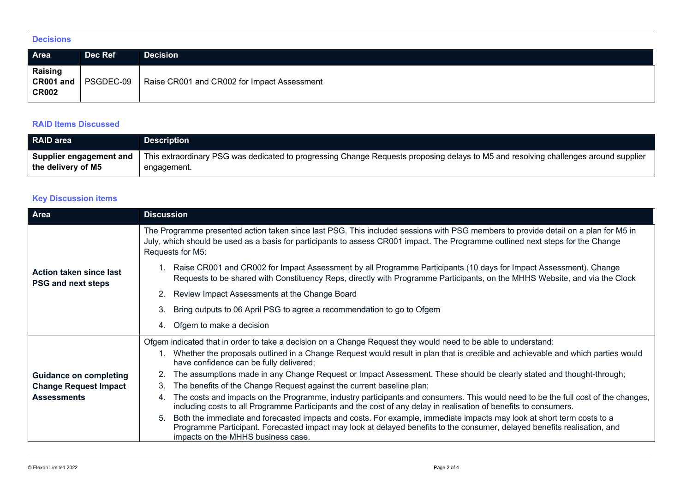## **Decisions**

| Area                                        | Dec Ref   | <b>Decision</b>                             |
|---------------------------------------------|-----------|---------------------------------------------|
| <b>Raising</b><br>CR001 and<br><b>CR002</b> | PSGDEC-09 | Raise CR001 and CR002 for Impact Assessment |

## **RAID Items Discussed**

| <b>RAID area</b>        | <b>Description</b>                                                                                                                  |
|-------------------------|-------------------------------------------------------------------------------------------------------------------------------------|
| Supplier engagement and | This extraordinary PSG was dedicated to progressing Change Requests proposing delays to M5 and resolving challenges around supplier |
| the delivery of M5      | engagement.                                                                                                                         |

# **Key Discussion items**

| Area                                                 | <b>Discussion</b>                                                                                                                                                                                                                                                                             |
|------------------------------------------------------|-----------------------------------------------------------------------------------------------------------------------------------------------------------------------------------------------------------------------------------------------------------------------------------------------|
|                                                      | The Programme presented action taken since last PSG. This included sessions with PSG members to provide detail on a plan for M5 in<br>July, which should be used as a basis for participants to assess CR001 impact. The Programme outlined next steps for the Change<br>Requests for M5:     |
| Action taken since last<br><b>PSG and next steps</b> | 1. Raise CR001 and CR002 for Impact Assessment by all Programme Participants (10 days for Impact Assessment). Change<br>Requests to be shared with Constituency Reps, directly with Programme Participants, on the MHHS Website, and via the Clock                                            |
|                                                      | Review Impact Assessments at the Change Board<br>2.                                                                                                                                                                                                                                           |
|                                                      | Bring outputs to 06 April PSG to agree a recommendation to go to Ofgem<br>3.                                                                                                                                                                                                                  |
|                                                      | Ofgem to make a decision<br>4.                                                                                                                                                                                                                                                                |
|                                                      | Ofgem indicated that in order to take a decision on a Change Request they would need to be able to understand:                                                                                                                                                                                |
|                                                      | Whether the proposals outlined in a Change Request would result in plan that is credible and achievable and which parties would<br>have confidence can be fully delivered;                                                                                                                    |
| <b>Guidance on completing</b>                        | The assumptions made in any Change Request or Impact Assessment. These should be clearly stated and thought-through;                                                                                                                                                                          |
| <b>Change Request Impact</b>                         | The benefits of the Change Request against the current baseline plan;<br>3.                                                                                                                                                                                                                   |
| <b>Assessments</b>                                   | The costs and impacts on the Programme, industry participants and consumers. This would need to be the full cost of the changes,<br>4.<br>including costs to all Programme Participants and the cost of any delay in realisation of benefits to consumers.                                    |
|                                                      | Both the immediate and forecasted impacts and costs. For example, immediate impacts may look at short term costs to a<br>5.<br>Programme Participant. Forecasted impact may look at delayed benefits to the consumer, delayed benefits realisation, and<br>impacts on the MHHS business case. |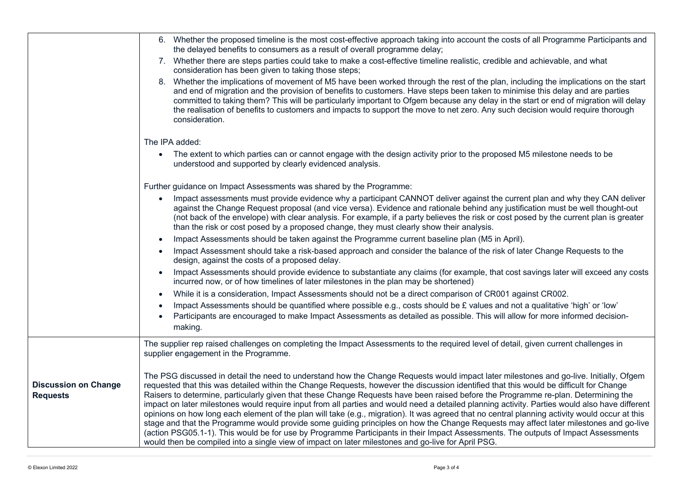|                                                | 6. Whether the proposed timeline is the most cost-effective approach taking into account the costs of all Programme Participants and<br>the delayed benefits to consumers as a result of overall programme delay;                                                                                                                                                                                                                                                                                                                                                                                                                                                                                                                                                                                                                                                                                                                                                                                                                                                                                               |
|------------------------------------------------|-----------------------------------------------------------------------------------------------------------------------------------------------------------------------------------------------------------------------------------------------------------------------------------------------------------------------------------------------------------------------------------------------------------------------------------------------------------------------------------------------------------------------------------------------------------------------------------------------------------------------------------------------------------------------------------------------------------------------------------------------------------------------------------------------------------------------------------------------------------------------------------------------------------------------------------------------------------------------------------------------------------------------------------------------------------------------------------------------------------------|
|                                                | 7. Whether there are steps parties could take to make a cost-effective timeline realistic, credible and achievable, and what<br>consideration has been given to taking those steps;                                                                                                                                                                                                                                                                                                                                                                                                                                                                                                                                                                                                                                                                                                                                                                                                                                                                                                                             |
|                                                | 8. Whether the implications of movement of M5 have been worked through the rest of the plan, including the implications on the start<br>and end of migration and the provision of benefits to customers. Have steps been taken to minimise this delay and are parties<br>committed to taking them? This will be particularly important to Ofgem because any delay in the start or end of migration will delay<br>the realisation of benefits to customers and impacts to support the move to net zero. Any such decision would require thorough<br>consideration.                                                                                                                                                                                                                                                                                                                                                                                                                                                                                                                                               |
|                                                | The IPA added:                                                                                                                                                                                                                                                                                                                                                                                                                                                                                                                                                                                                                                                                                                                                                                                                                                                                                                                                                                                                                                                                                                  |
|                                                | The extent to which parties can or cannot engage with the design activity prior to the proposed M5 milestone needs to be<br>$\bullet$<br>understood and supported by clearly evidenced analysis.                                                                                                                                                                                                                                                                                                                                                                                                                                                                                                                                                                                                                                                                                                                                                                                                                                                                                                                |
|                                                | Further guidance on Impact Assessments was shared by the Programme:                                                                                                                                                                                                                                                                                                                                                                                                                                                                                                                                                                                                                                                                                                                                                                                                                                                                                                                                                                                                                                             |
|                                                | Impact assessments must provide evidence why a participant CANNOT deliver against the current plan and why they CAN deliver<br>$\bullet$<br>against the Change Request proposal (and vice versa). Evidence and rationale behind any justification must be well thought-out<br>(not back of the envelope) with clear analysis. For example, if a party believes the risk or cost posed by the current plan is greater<br>than the risk or cost posed by a proposed change, they must clearly show their analysis.                                                                                                                                                                                                                                                                                                                                                                                                                                                                                                                                                                                                |
|                                                | Impact Assessments should be taken against the Programme current baseline plan (M5 in April).<br>$\bullet$                                                                                                                                                                                                                                                                                                                                                                                                                                                                                                                                                                                                                                                                                                                                                                                                                                                                                                                                                                                                      |
|                                                | Impact Assessment should take a risk-based approach and consider the balance of the risk of later Change Requests to the<br>$\bullet$<br>design, against the costs of a proposed delay.                                                                                                                                                                                                                                                                                                                                                                                                                                                                                                                                                                                                                                                                                                                                                                                                                                                                                                                         |
|                                                | Impact Assessments should provide evidence to substantiate any claims (for example, that cost savings later will exceed any costs<br>$\bullet$<br>incurred now, or of how timelines of later milestones in the plan may be shortened)                                                                                                                                                                                                                                                                                                                                                                                                                                                                                                                                                                                                                                                                                                                                                                                                                                                                           |
|                                                | While it is a consideration, Impact Assessments should not be a direct comparison of CR001 against CR002.<br>$\bullet$                                                                                                                                                                                                                                                                                                                                                                                                                                                                                                                                                                                                                                                                                                                                                                                                                                                                                                                                                                                          |
|                                                | Impact Assessments should be quantified where possible e.g., costs should be £ values and not a qualitative 'high' or 'low'<br>Participants are encouraged to make Impact Assessments as detailed as possible. This will allow for more informed decision-<br>$\bullet$<br>making.                                                                                                                                                                                                                                                                                                                                                                                                                                                                                                                                                                                                                                                                                                                                                                                                                              |
|                                                | The supplier rep raised challenges on completing the Impact Assessments to the required level of detail, given current challenges in<br>supplier engagement in the Programme.                                                                                                                                                                                                                                                                                                                                                                                                                                                                                                                                                                                                                                                                                                                                                                                                                                                                                                                                   |
| <b>Discussion on Change</b><br><b>Requests</b> | The PSG discussed in detail the need to understand how the Change Requests would impact later milestones and go-live. Initially, Ofgem<br>requested that this was detailed within the Change Requests, however the discussion identified that this would be difficult for Change<br>Raisers to determine, particularly given that these Change Requests have been raised before the Programme re-plan. Determining the<br>impact on later milestones would require input from all parties and would need a detailed planning activity. Parties would also have different<br>opinions on how long each element of the plan will take (e.g., migration). It was agreed that no central planning activity would occur at this<br>stage and that the Programme would provide some guiding principles on how the Change Requests may affect later milestones and go-live<br>(action PSG05.1-1). This would be for use by Programme Participants in their Impact Assessments. The outputs of Impact Assessments<br>would then be compiled into a single view of impact on later milestones and go-live for April PSG. |